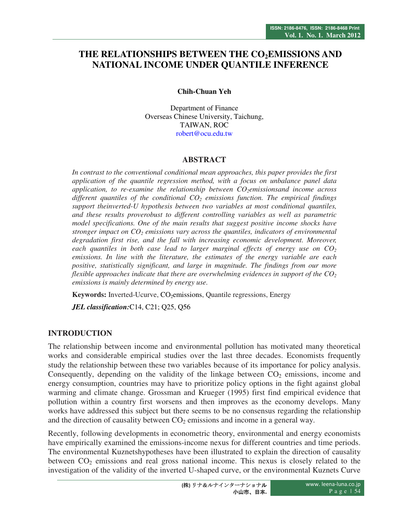# **THE RELATIONSHIPS BETWEEN THE CO2EMISSIONS AND NATIONAL INCOME UNDER QUANTILE INFERENCE**

**Chih-Chuan Yeh** 

Department of Finance Overseas Chinese University, Taichung, TAIWAN, ROC robert@ocu.edu.tw

## **ABSTRACT**

*In contrast to the conventional conditional mean approaches, this paper provides the first application of the quantile regression method, with a focus on unbalance panel data application, to re-examine the relationship between CO2emissionsand income across different quantiles of the conditional CO2 emissions function. The empirical findings support theinverted-U hypothesis between two variables at most conditional quantiles, and these results proverobust to different controlling variables as well as parametric model specifications. One of the main results that suggest positive income shocks have stronger impact on CO2 emissions vary across the quantiles, indicators of environmental degradation first rise, and the fall with increasing economic development. Moreover, each quantiles in both case lead to larger marginal effects of energy use on CO<sup>2</sup> emissions. In line with the literature, the estimates of the energy variable are each positive, statistically significant, and large in magnitude. The findings from our more flexible approaches indicate that there are overwhelming evidences in support of the CO<sup>2</sup> emissions is mainly determined by energy use.* 

**Keywords:** Inverted-Ucurve, CO<sub>2</sub>emissions, Quantile regressions, Energy

*JEL classification:*C14, C21; Q25, Q56

## **INTRODUCTION**

The relationship between income and environmental pollution has motivated many theoretical works and considerable empirical studies over the last three decades. Economists frequently study the relationship between these two variables because of its importance for policy analysis. Consequently, depending on the validity of the linkage between  $CO<sub>2</sub>$  emissions, income and energy consumption, countries may have to prioritize policy options in the fight against global warming and climate change. Grossman and Krueger (1995) first find empirical evidence that pollution within a country first worsens and then improves as the economy develops. Many works have addressed this subject but there seems to be no consensus regarding the relationship and the direction of causality between  $CO<sub>2</sub>$  emissions and income in a general way.

Recently, following developments in econometric theory, environmental and energy economists have empirically examined the emissions-income nexus for different countries and time periods. The environmental Kuznetshypotheses have been illustrated to explain the direction of causality between  $CO<sub>2</sub>$  emissions and real gross national income. This nexus is closely related to the investigation of the validity of the inverted U-shaped curve, or the environmental Kuznets Curve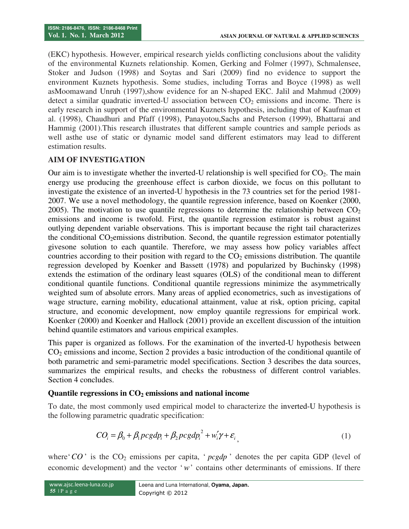(EKC) hypothesis. However, empirical research yields conflicting conclusions about the validity of the environmental Kuznets relationship. Komen, Gerking and Folmer (1997), Schmalensee, Stoker and Judson (1998) and Soytas and Sari (2009) find no evidence to support the environment Kuznets hypothesis. Some studies, including Torras and Boyce (1998) as well asMoomawand Unruh (1997),show evidence for an N-shaped EKC. Jalil and Mahmud (2009) detect a similar quadratic inverted-U association between  $CO<sub>2</sub>$  emissions and income. There is early research in support of the environmental Kuznets hypothesis, including that of Kaufman et al. (1998), Chaudhuri and Pfaff (1998), Panayotou,Sachs and Peterson (1999), Bhattarai and Hammig (2001).This research illustrates that different sample countries and sample periods as well asthe use of static or dynamic model sand different estimators may lead to different estimation results.

#### **AIM OF INVESTIGATION**

Our aim is to investigate whether the inverted-U relationship is well specified for  $CO<sub>2</sub>$ . The main energy use producing the greenhouse effect is carbon dioxide, we focus on this pollutant to investigate the existence of an inverted-U hypothesis in the 73 countries set for the period 1981- 2007. We use a novel methodology, the quantile regression inference, based on Koenker (2000, 2005). The motivation to use quantile regressions to determine the relationship between  $CO<sub>2</sub>$ emissions and income is twofold. First, the quantile regression estimator is robust against outlying dependent variable observations. This is important because the right tail characterizes the conditional  $CO<sub>2</sub>$ emissions distribution. Second, the quantile regression estimator potentially givesone solution to each quantile. Therefore, we may assess how policy variables affect countries according to their position with regard to the  $CO<sub>2</sub>$  emissions distribution. The quantile regression developed by Koenker and Bassett (1978) and popularized by Buchinsky (1998) extends the estimation of the ordinary least squares (OLS) of the conditional mean to different conditional quantile functions. Conditional quantile regressions minimize the asymmetrically weighted sum of absolute errors. Many areas of applied econometrics, such as investigations of wage structure, earning mobility, educational attainment, value at risk, option pricing, capital structure, and economic development, now employ quantile regressions for empirical work. Koenker (2000) and Koenker and Hallock (2001) provide an excellent discussion of the intuition behind quantile estimators and various empirical examples.

This paper is organized as follows. For the examination of the inverted-U hypothesis between CO2 emissions and income, Section 2 provides a basic introduction of the conditional quantile of both parametric and semi-parametric model specifications. Section 3 describes the data sources, summarizes the empirical results, and checks the robustness of different control variables. Section 4 concludes.

#### **Quantile regressions in CO2 emissions and national income**

To date, the most commonly used empirical model to characterize the inverted-U hypothesis is the following parametric quadratic specification:

$$
CO_i = \beta_0 + \beta_1 p c g d p_i + \beta_2 p c g d p_i^2 + w_i' \gamma + \varepsilon_i,
$$
\n(1)

where  $^{\circ}CO$  is the  $CO_2$  emissions per capita,  $^{\circ}pcgdp$  denotes the per capita GDP (level of economic development) and the vector '*w*' contains other determinants of emissions. If there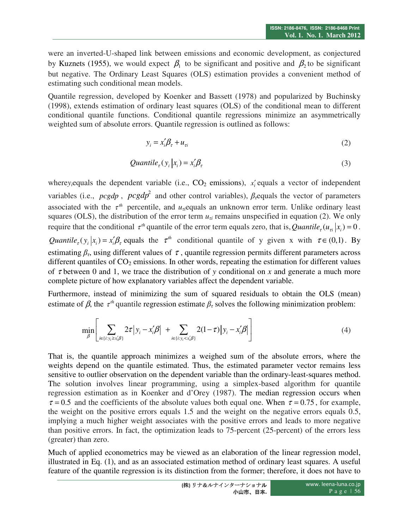were an inverted-U-shaped link between emissions and economic development, as conjectured by Kuznets (1955), we would expect  $\beta_1$  to be significant and positive and  $\beta_2$  to be significant but negative. The Ordinary Least Squares (OLS) estimation provides a convenient method of estimating such conditional mean models.

Quantile regression, developed by Koenker and Bassett (1978) and popularized by Buchinsky (1998), extends estimation of ordinary least squares (OLS) of the conditional mean to different conditional quantile functions. Conditional quantile regressions minimize an asymmetrically weighted sum of absolute errors. Quantile regression is outlined as follows:

$$
y_i = x_i' \beta_\tau + u_{\tau i} \tag{2}
$$

$$
Quantile_{\tau}(y_i | x_i) = x_i' \beta_{\tau}
$$
\n(3)

where *y*<sub>i</sub> equals the dependent variable (i.e.,  $CO_2$  emissions),  $x'_i$  equals a vector of independent variables (i.e.,  $\text{pcgdp}$ ,  $\text{pcgdp}^2$  and other control variables),  $\beta$ <sub>*τ*</sub>equals the vector of parameters associated with the  $\tau^{th}$  percentile, and  $u_{\tau i}$ equals an unknown error term. Unlike ordinary least squares (OLS), the distribution of the error term  $u_{\tau i}$  remains unspecified in equation (2). We only require that the conditional  $\tau^{th}$  quantile of the error term equals zero, that is, Quantile<sub>t</sub> ( $u_{\tau i} | x_i$ ) = 0. *Quantile<sub>t</sub>* ( $y_i | x_i$ ) =  $x_i' \beta_\tau$  equals the  $\tau^{th}$  conditional quantile of y given x with  $\tau \in (0,1)$ . By estimating  $\beta_t$ , using different values of  $\tau$ , quantile regression permits different parameters across different quantiles of  $CO<sub>2</sub>$  emissions. In other words, repeating the estimation for different values of τ between 0 and 1, we trace the distribution of *y* conditional on *x* and generate a much more complete picture of how explanatory variables affect the dependent variable.

Furthermore, instead of minimizing the sum of squared residuals to obtain the OLS (mean) estimate of  $\beta$ , the  $\tau^{th}$  quantile regression estimate  $\beta_{\tau}$  solves the following minimization problem:

$$
\min_{\beta} \left[ \sum_{i \in \{i: y_i \ge x'_i \beta\}} 2\tau \middle| y_i - x'_i \beta \middle| + \sum_{i \in \{i: y_i < x'_i \beta\}} 2(1 - \tau) \middle| y_i - x'_i \beta \middle| \right] \tag{4}
$$

That is, the quantile approach minimizes a weighed sum of the absolute errors, where the weights depend on the quantile estimated. Thus, the estimated parameter vector remains less sensitive to outlier observation on the dependent variable than the ordinary-least-squares method. The solution involves linear programming, using a simplex-based algorithm for quantile regression estimation as in Koenker and d'Orey (1987). The median regression occurs when  $\tau = 0.5$  and the coefficients of the absolute values both equal one. When  $\tau = 0.75$ , for example, the weight on the positive errors equals 1.5 and the weight on the negative errors equals 0.5, implying a much higher weight associates with the positive errors and leads to more negative than positive errors. In fact, the optimization leads to 75-percent (25-percent) of the errors less (greater) than zero.

Much of applied econometrics may be viewed as an elaboration of the linear regression model, illustrated in Eq. (1), and as an associated estimation method of ordinary least squares. A useful feature of the quantile regression is its distinction from the former; therefore, it does not have to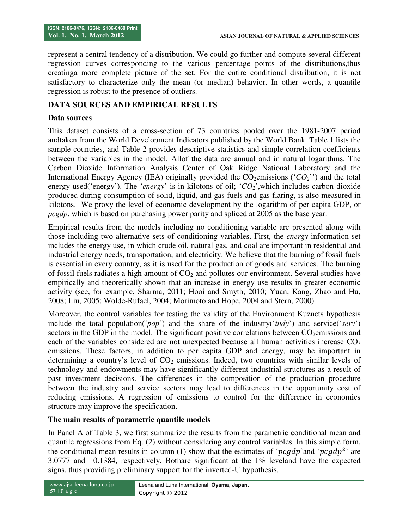represent a central tendency of a distribution. We could go further and compute several different regression curves corresponding to the various percentage points of the distributions,thus creatinga more complete picture of the set. For the entire conditional distribution, it is not satisfactory to characterize only the mean (or median) behavior. In other words, a quantile regression is robust to the presence of outliers.

## **DATA SOURCES AND EMPIRICAL RESULTS**

#### **Data sources**

This dataset consists of a cross-section of 73 countries pooled over the 1981-2007 period andtaken from the World Development Indicators published by the World Bank. Table 1 lists the sample countries, and Table 2 provides descriptive statistics and simple correlation coefficients between the variables in the model. Allof the data are annual and in natural logarithms. The Carbon Dioxide Information Analysis Center of Oak Ridge National Laboratory and the International Energy Agency (IEA) originally provided the  $CO<sub>2</sub>$ emissions ( $^{\prime}CO<sub>2</sub>$ ) and the total energy used('energy'). The '*energy*' is in kilotons of oil; '*CO2*',which includes carbon dioxide produced during consumption of solid, liquid, and gas fuels and gas flaring, is also measured in kilotons. We proxy the level of economic development by the logarithm of per capita GDP, or *pcgdp*, which is based on purchasing power parity and spliced at 2005 as the base year.

Empirical results from the models including no conditioning variable are presented along with those including two alternative sets of conditioning variables. First, the *energy*-information set includes the energy use, in which crude oil, natural gas, and coal are important in residential and industrial energy needs, transportation, and electricity. We believe that the burning of fossil fuels is essential in every country, as it is used for the production of goods and services. The burning of fossil fuels radiates a high amount of  $CO<sub>2</sub>$  and pollutes our environment. Several studies have empirically and theoretically shown that an increase in energy use results in greater economic activity (see, for example, Sharma, 2011; Hooi and Smyth, 2010; Yuan, Kang, Zhao and Hu, 2008; Liu, 2005; Wolde-Rufael, 2004; Morimoto and Hope, 2004 and Stern, 2000).

Moreover, the control variables for testing the validity of the Environment Kuznets hypothesis include the total population('*pop*') and the share of the industry('*indy*') and service('*serv*') sectors in the GDP in the model. The significant positive correlations between CO<sub>2</sub>emissions and each of the variables considered are not unexpected because all human activities increase  $CO<sub>2</sub>$ emissions. These factors, in addition to per capita GDP and energy, may be important in determining a country's level of  $CO<sub>2</sub>$  emissions. Indeed, two countries with similar levels of technology and endowments may have significantly different industrial structures as a result of past investment decisions. The differences in the composition of the production procedure between the industry and service sectors may lead to differences in the opportunity cost of reducing emissions. A regression of emissions to control for the difference in economics structure may improve the specification.

#### **The main results of parametric quantile models**

In Panel A of Table 3, we first summarize the results from the parametric conditional mean and quantile regressions from Eq. (2) without considering any control variables. In this simple form, the conditional mean results in column (1) show that the estimates of 'pcgdp' and 'pcgdp<sup>2</sup>' are 3.0777 and −0.1384, respectively. Bothare significant at the 1% leveland have the expected signs, thus providing preliminary support for the inverted-U hypothesis.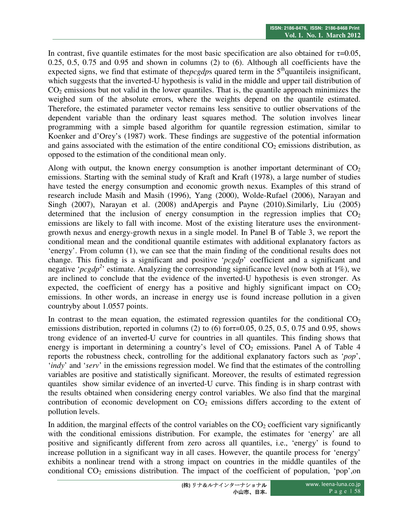In contrast, five quantile estimates for the most basic specification are also obtained for  $\tau=0.05$ , 0.25, 0.5, 0.75 and 0.95 and shown in columns (2) to (6). Although all coefficients have the expected signs, we find that estimate of the *pcgdps* quared term in the  $5<sup>th</sup>$  quantileis insignificant, which suggests that the inverted-U hypothesis is valid in the middle and upper tail distribution of  $CO<sub>2</sub>$  emissions but not valid in the lower quantiles. That is, the quantile approach minimizes the weighed sum of the absolute errors, where the weights depend on the quantile estimated. Therefore, the estimated parameter vector remains less sensitive to outlier observations of the dependent variable than the ordinary least squares method. The solution involves linear programming with a simple based algorithm for quantile regression estimation, similar to Koenker and d'Orey's (1987) work. These findings are suggestive of the potential information and gains associated with the estimation of the entire conditional  $CO<sub>2</sub>$  emissions distribution, as opposed to the estimation of the conditional mean only.

Along with output, the known energy consumption is another important determinant of  $CO<sub>2</sub>$ emissions. Starting with the seminal study of Kraft and Kraft (1978), a large number of studies have tested the energy consumption and economic growth nexus. Examples of this strand of research include Masih and Masih (1996), Yang (2000), Wolde-Rufael (2006), Narayan and Singh (2007), Narayan et al. (2008) andApergis and Payne (2010).Similarly, Liu (2005) determined that the inclusion of energy consumption in the regression implies that  $CO<sub>2</sub>$ emissions are likely to fall with income. Most of the existing literature uses the environmentgrowth nexus and energy-growth nexus in a single model. In Panel B of Table 3, we report the conditional mean and the conditional quantile estimates with additional explanatory factors as 'energy'. From column (1), we can see that the main finding of the conditional results does not change. This finding is a significant and positive '*pcgdp*' coefficient and a significant and negative '*pcgdp*<sup>2</sup>' estimate. Analyzing the corresponding significance level (now both at 1%), we are inclined to conclude that the evidence of the inverted-U hypothesis is even stronger. As expected, the coefficient of energy has a positive and highly significant impact on  $CO<sub>2</sub>$ emissions. In other words, an increase in energy use is found increase pollution in a given countryby about 1.0557 points.

In contrast to the mean equation, the estimated regression quantiles for the conditional  $CO<sub>2</sub>$ emissions distribution, reported in columns (2) to (6) for  $\tau$ =0.05, 0.25, 0.5, 0.75 and 0.95, shows trong evidence of an inverted-U curve for countries in all quantiles. This finding shows that energy is important in determining a country's level of  $CO<sub>2</sub>$  emissions. Panel A of Table 4 reports the robustness check, controlling for the additional explanatory factors such as '*pop*', '*indy*' and '*serv*' in the emissions regression model. We find that the estimates of the controlling variables are positive and statistically significant. Moreover, the results of estimated regression quantiles show similar evidence of an inverted-U curve. This finding is in sharp contrast with the results obtained when considering energy control variables. We also find that the marginal contribution of economic development on  $CO<sub>2</sub>$  emissions differs according to the extent of pollution levels.

In addition, the marginal effects of the control variables on the  $CO<sub>2</sub>$  coefficient vary significantly with the conditional emissions distribution. For example, the estimates for 'energy' are all positive and significantly different from zero across all quantiles, i.e., 'energy' is found to increase pollution in a significant way in all cases. However, the quantile process for 'energy' exhibits a nonlinear trend with a strong impact on countries in the middle quantiles of the conditional  $CO<sub>2</sub>$  emissions distribution. The impact of the coefficient of population, 'pop', on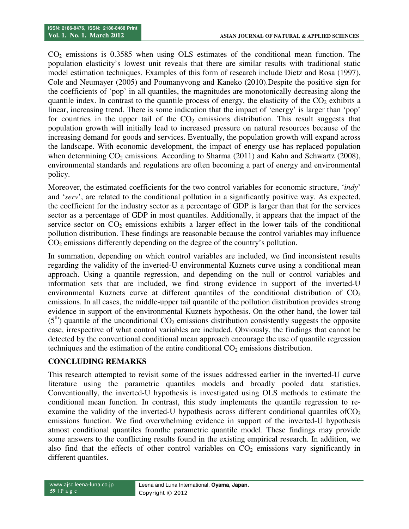$CO<sub>2</sub>$  emissions is 0.3585 when using OLS estimates of the conditional mean function. The population elasticity's lowest unit reveals that there are similar results with traditional static model estimation techniques. Examples of this form of research include Dietz and Rosa (1997), Cole and Neumayer (2005) and Poumanyvong and Kaneko (2010).Despite the positive sign for the coefficients of 'pop' in all quantiles, the magnitudes are monotonically decreasing along the quantile index. In contrast to the quantile process of energy, the elasticity of the  $CO<sub>2</sub>$  exhibits a linear, increasing trend. There is some indication that the impact of 'energy' is larger than 'pop' for countries in the upper tail of the  $CO<sub>2</sub>$  emissions distribution. This result suggests that population growth will initially lead to increased pressure on natural resources because of the increasing demand for goods and services. Eventually, the population growth will expand across the landscape. With economic development, the impact of energy use has replaced population when determining  $CO_2$  emissions. According to Sharma (2011) and Kahn and Schwartz (2008), environmental standards and regulations are often becoming a part of energy and environmental policy.

Moreover, the estimated coefficients for the two control variables for economic structure, '*indy*' and '*serv*', are related to the conditional pollution in a significantly positive way. As expected, the coefficient for the industry sector as a percentage of GDP is larger than that for the services sector as a percentage of GDP in most quantiles. Additionally, it appears that the impact of the service sector on  $CO<sub>2</sub>$  emissions exhibits a larger effect in the lower tails of the conditional pollution distribution. These findings are reasonable because the control variables may influence  $CO<sub>2</sub>$  emissions differently depending on the degree of the country's pollution.

In summation, depending on which control variables are included, we find inconsistent results regarding the validity of the inverted-U environmental Kuznets curve using a conditional mean approach. Using a quantile regression, and depending on the null or control variables and information sets that are included, we find strong evidence in support of the inverted-U environmental Kuznets curve at different quantiles of the conditional distribution of  $CO<sub>2</sub>$ emissions. In all cases, the middle-upper tail quantile of the pollution distribution provides strong evidence in support of the environmental Kuznets hypothesis. On the other hand, the lower tail  $(5<sup>th</sup>)$  quantile of the unconditional CO<sub>2</sub> emissions distribution consistently suggests the opposite case, irrespective of what control variables are included. Obviously, the findings that cannot be detected by the conventional conditional mean approach encourage the use of quantile regression techniques and the estimation of the entire conditional  $CO<sub>2</sub>$  emissions distribution.

## **CONCLUDING REMARKS**

This research attempted to revisit some of the issues addressed earlier in the inverted-U curve literature using the parametric quantiles models and broadly pooled data statistics. Conventionally, the inverted-U hypothesis is investigated using OLS methods to estimate the conditional mean function. In contrast, this study implements the quantile regression to reexamine the validity of the inverted-U hypothesis across different conditional quantiles of  $CO<sub>2</sub>$ emissions function. We find overwhelming evidence in support of the inverted-U hypothesis atmost conditional quantiles fromthe parametric quantile model. These findings may provide some answers to the conflicting results found in the existing empirical research. In addition, we also find that the effects of other control variables on  $CO<sub>2</sub>$  emissions vary significantly in different quantiles.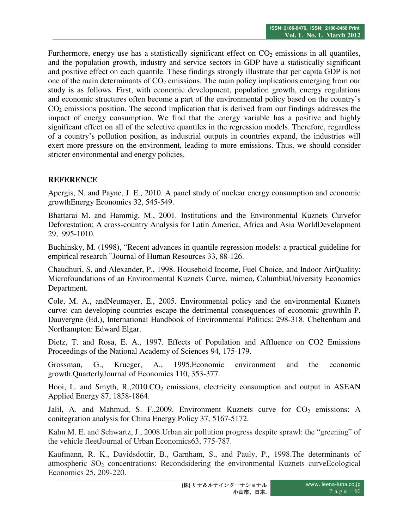Furthermore, energy use has a statistically significant effect on  $CO<sub>2</sub>$  emissions in all quantiles, and the population growth, industry and service sectors in GDP have a statistically significant and positive effect on each quantile. These findings strongly illustrate that per capita GDP is not one of the main determinants of  $CO<sub>2</sub>$  emissions. The main policy implications emerging from our study is as follows. First, with economic development, population growth, energy regulations and economic structures often become a part of the environmental policy based on the country's  $CO<sub>2</sub>$  emissions position. The second implication that is derived from our findings addresses the impact of energy consumption. We find that the energy variable has a positive and highly significant effect on all of the selective quantiles in the regression models. Therefore, regardless of a country's pollution position, as industrial outputs in countries expand, the industries will exert more pressure on the environment, leading to more emissions. Thus, we should consider stricter environmental and energy policies.

# **REFERENCE**

Apergis, N. and Payne, J. E., 2010. A panel study of nuclear energy consumption and economic growthEnergy Economics 32, 545-549.

Bhattarai M. and Hammig, M., 2001. Institutions and the Environmental Kuznets Curvefor Deforestation; A cross-country Analysis for Latin America, Africa and Asia WorldDevelopment 29, 995-1010.

Buchinsky, M. (1998), "Recent advances in quantile regression models: a practical guideline for empirical research "Journal of Human Resources 33, 88-126.

Chaudhuri, S, and Alexander, P., 1998. Household Income, Fuel Choice, and Indoor AirQuality: Microfoundations of an Environmental Kuznets Curve, mimeo, ColumbiaUniversity Economics Department.

Cole, M. A., andNeumayer, E., 2005. Environmental policy and the environmental Kuznets curve: can developing countries escape the detrimental consequences of economic growthIn P. Dauvergne (Ed.), International Handbook of Environmental Politics: 298-318. Cheltenham and Northampton: Edward Elgar.

Dietz, T. and Rosa, E. A., 1997. Effects of Population and Affluence on CO2 Emissions Proceedings of the National Academy of Sciences 94, 175-179.

Grossman, G., Krueger, A., 1995.Economic environment and the economic growth.QuarterlyJournal of Economics 110, 353-377.

Hooi, L. and Smyth,  $R_{1,2010}$ ,  $CO<sub>2</sub>$  emissions, electricity consumption and output in ASEAN Applied Energy 87, 1858-1864.

Jalil, A. and Mahmud, S. F., 2009. Environment Kuznets curve for  $CO<sub>2</sub>$  emissions: A conitegration analysis for China Energy Policy 37, 5167-5172.

Kahn M. E. and Schwartz, J., 2008.Urban air pollution progress despite sprawl: the "greening" of the vehicle fleetJournal of Urban Economics63, 775-787.

Kaufmann, R. K., Davidsdottir, B., Garnham, S., and Pauly, P., 1998.The determinants of atmospheric  $SO_2$  concentrations: Recondsidering the environmental Kuznets curve Ecological Economics 25, 209-220.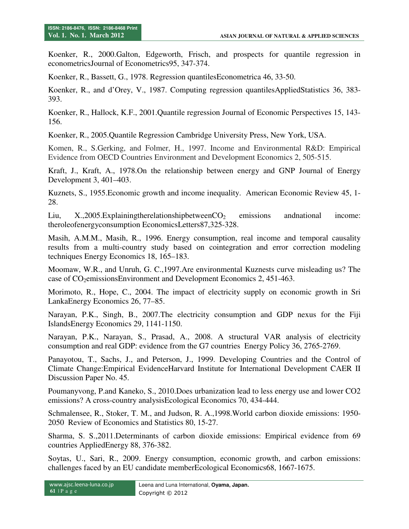Koenker, R., 2000.Galton, Edgeworth, Frisch, and prospects for quantile regression in econometricsJournal of Econometrics95, 347-374.

Koenker, R., Bassett, G., 1978. Regression quantilesEconometrica 46, 33-50.

Koenker, R., and d'Orey, V., 1987. Computing regression quantilesAppliedStatistics 36, 383- 393.

Koenker, R., Hallock, K.F., 2001.Quantile regression Journal of Economic Perspectives 15, 143- 156.

Koenker, R., 2005.Quantile Regression Cambridge University Press, New York, USA.

Komen, R., S.Gerking, and Folmer, H., 1997. Income and Environmental R&D: Empirical Evidence from OECD Countries Environment and Development Economics 2, 505-515.

Kraft, J., Kraft, A., 1978.On the relationship between energy and GNP Journal of Energy Development 3, 401–403.

Kuznets, S., 1955.Economic growth and income inequality. American Economic Review 45, 1- 28.

Liu,  $X$ , 2005. Explaining the relationship between  $CO<sub>2</sub>$  emissions and national income: theroleofenergyconsumption EconomicsLetters87,325-328.

Masih, A.M.M., Masih, R., 1996. Energy consumption, real income and temporal causality results from a multi-country study based on cointegration and error correction modeling techniques Energy Economics 18, 165–183.

Moomaw, W.R., and Unruh, G. C.,1997.Are environmental Kuznests curve misleading us? The case of CO<sub>2</sub>emissionsEnvironment and Development Economics 2, 451-463.

Morimoto, R., Hope, C., 2004. The impact of electricity supply on economic growth in Sri LankaEnergy Economics 26, 77–85.

Narayan, P.K., Singh, B., 2007.The electricity consumption and GDP nexus for the Fiji IslandsEnergy Economics 29, 1141-1150.

Narayan, P.K., Narayan, S., Prasad, A., 2008. A structural VAR analysis of electricity consumption and real GDP: evidence from the G7 countries Energy Policy 36, 2765-2769.

Panayotou, T., Sachs, J., and Peterson, J., 1999. Developing Countries and the Control of Climate Change:Empirical EvidenceHarvard Institute for International Development CAER II Discussion Paper No. 45.

Poumanyvong, P.and Kaneko, S., 2010.Does urbanization lead to less energy use and lower CO2 emissions? A cross-country analysisEcological Economics 70, 434-444.

Schmalensee, R., Stoker, T. M., and Judson, R. A.,1998.World carbon dioxide emissions: 1950- 2050 Review of Economics and Statistics 80, 15-27.

Sharma, S. S.,2011.Determinants of carbon dioxide emissions: Empirical evidence from 69 countries AppliedEnergy 88, 376-382.

Soytas, U., Sari, R., 2009. Energy consumption, economic growth, and carbon emissions: challenges faced by an EU candidate memberEcological Economics68, 1667-1675.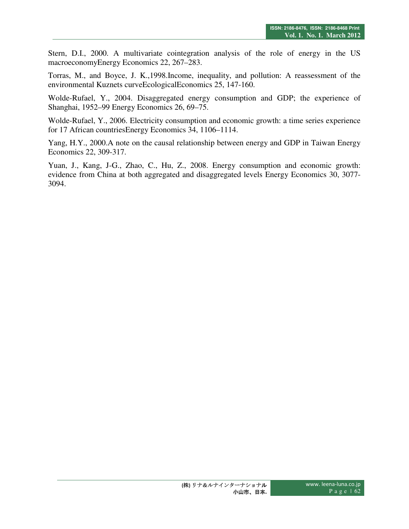Stern, D.I., 2000. A multivariate cointegration analysis of the role of energy in the US macroeconomyEnergy Economics 22, 267–283.

Torras, M., and Boyce, J. K.,1998.Income, inequality, and pollution: A reassessment of the environmental Kuznets curveEcologicalEconomics 25, 147-160.

Wolde-Rufael, Y., 2004. Disaggregated energy consumption and GDP; the experience of Shanghai, 1952–99 Energy Economics 26, 69–75.

Wolde-Rufael, Y., 2006. Electricity consumption and economic growth: a time series experience for 17 African countriesEnergy Economics 34, 1106–1114.

Yang, H.Y., 2000.A note on the causal relationship between energy and GDP in Taiwan Energy Economics 22, 309-317.

Yuan, J., Kang, J-G., Zhao, C., Hu, Z., 2008. Energy consumption and economic growth: evidence from China at both aggregated and disaggregated levels Energy Economics 30, 3077- 3094.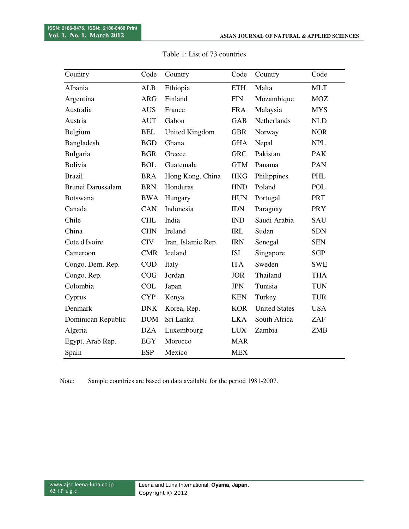| Country            | Code       | Country               | Code                        | Country              | Code       |
|--------------------|------------|-----------------------|-----------------------------|----------------------|------------|
| Albania            | <b>ALB</b> | Ethiopia              | <b>ETH</b>                  | Malta                | <b>MLT</b> |
| Argentina          | <b>ARG</b> | Finland               | $\boldsymbol{\mathrm{FIN}}$ | Mozambique           | <b>MOZ</b> |
| Australia          | <b>AUS</b> | France                | <b>FRA</b>                  | Malaysia             | <b>MYS</b> |
| Austria            | <b>AUT</b> | Gabon                 | <b>GAB</b>                  | Netherlands          | <b>NLD</b> |
| Belgium            | <b>BEL</b> | <b>United Kingdom</b> | <b>GBR</b>                  | Norway               | <b>NOR</b> |
| Bangladesh         | <b>BGD</b> | Ghana                 | <b>GHA</b>                  | Nepal                | <b>NPL</b> |
| Bulgaria           | <b>BGR</b> | Greece                | <b>GRC</b>                  | Pakistan             | <b>PAK</b> |
| <b>Bolivia</b>     | <b>BOL</b> | Guatemala             | <b>GTM</b>                  | Panama               | PAN        |
| <b>Brazil</b>      | <b>BRA</b> | Hong Kong, China      | <b>HKG</b>                  | Philippines          | PHL        |
| Brunei Darussalam  | <b>BRN</b> | Honduras              | <b>HND</b>                  | Poland               | <b>POL</b> |
| <b>Botswana</b>    | <b>BWA</b> | Hungary               | <b>HUN</b>                  | Portugal             | <b>PRT</b> |
| Canada             | CAN        | Indonesia             | <b>IDN</b>                  | Paraguay             | <b>PRY</b> |
| Chile              | <b>CHL</b> | India                 | <b>IND</b>                  | Saudi Arabia         | SAU        |
| China              | <b>CHN</b> | Ireland               | <b>IRL</b>                  | Sudan                | <b>SDN</b> |
| Cote d'Ivoire      | <b>CIV</b> | Iran, Islamic Rep.    | <b>IRN</b>                  | Senegal              | <b>SEN</b> |
| Cameroon           | <b>CMR</b> | Iceland               | <b>ISL</b>                  | Singapore            | <b>SGP</b> |
| Congo, Dem. Rep.   | <b>COD</b> | Italy                 | <b>ITA</b>                  | Sweden               | <b>SWE</b> |
| Congo, Rep.        | COG        | Jordan                | <b>JOR</b>                  | Thailand             | <b>THA</b> |
| Colombia           | <b>COL</b> | Japan                 | <b>JPN</b>                  | Tunisia              | <b>TUN</b> |
| Cyprus             | <b>CYP</b> | Kenya                 | <b>KEN</b>                  | Turkey               | <b>TUR</b> |
| Denmark            | <b>DNK</b> | Korea, Rep.           | <b>KOR</b>                  | <b>United States</b> | <b>USA</b> |
| Dominican Republic | <b>DOM</b> | Sri Lanka             | <b>LKA</b>                  | South Africa         | ZAF        |
| Algeria            | <b>DZA</b> | Luxembourg            | <b>LUX</b>                  | Zambia               | <b>ZMB</b> |
| Egypt, Arab Rep.   | <b>EGY</b> | Morocco               | <b>MAR</b>                  |                      |            |
| Spain              | <b>ESP</b> | Mexico                | <b>MEX</b>                  |                      |            |

Table 1: List of 73 countries

Note: Sample countries are based on data available for the period 1981-2007.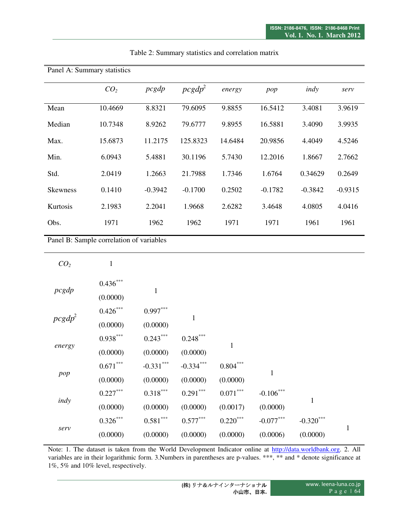| Panel A: Summary statistics |                 |           |                    |         |           |           |           |
|-----------------------------|-----------------|-----------|--------------------|---------|-----------|-----------|-----------|
|                             | CO <sub>2</sub> | pcgdp     | pcgdp <sup>2</sup> | energy  | pop       | indy      | serv      |
| Mean                        | 10.4669         | 8.8321    | 79.6095            | 9.8855  | 16.5412   | 3.4081    | 3.9619    |
| Median                      | 10.7348         | 8.9262    | 79.6777            | 9.8955  | 16.5881   | 3.4090    | 3.9935    |
| Max.                        | 15.6873         | 11.2175   | 125.8323           | 14.6484 | 20.9856   | 4.4049    | 4.5246    |
| Min.                        | 6.0943          | 5.4881    | 30.1196            | 5.7430  | 12.2016   | 1.8667    | 2.7662    |
| Std.                        | 2.0419          | 1.2663    | 21.7988            | 1.7346  | 1.6764    | 0.34629   | 0.2649    |
| <b>Skewness</b>             | 0.1410          | $-0.3942$ | $-0.1700$          | 0.2502  | $-0.1782$ | $-0.3842$ | $-0.9315$ |
| <b>Kurtosis</b>             | 2.1983          | 2.2041    | 1.9668             | 2.6282  | 3.4648    | 4.0805    | 4.0416    |
| Obs.                        | 1971            | 1962      | 1962               | 1971    | 1971      | 1961      | 1961      |

# Table 2: Summary statistics and correlation matrix

Panel B: Sample correlation of variables

| CO <sub>2</sub> | $\mathbf{1}$ |             |              |                 |             |              |              |
|-----------------|--------------|-------------|--------------|-----------------|-------------|--------------|--------------|
| pcgdp           | $0.436***$   | 1           |              |                 |             |              |              |
|                 | (0.0000)     |             |              |                 |             |              |              |
| $pcgdp^2$       | $0.426***$   | $0.997***$  | $\mathbf{1}$ |                 |             |              |              |
|                 | (0.0000)     | (0.0000)    |              |                 |             |              |              |
| energy          | $0.938***$   | $0.243***$  | $0.248***$   | 1               |             |              |              |
|                 | (0.0000)     | (0.0000)    | (0.0000)     |                 |             |              |              |
| pop             | $0.671***$   | $-0.331***$ | $-0.334***$  | $0.804\sp{***}$ | 1           |              |              |
|                 | (0.0000)     | (0.0000)    | (0.0000)     | (0.0000)        |             |              |              |
| indy            | $0.227***$   | $0.318***$  | $0.291***$   | $0.071***$      | $-0.106***$ | $\mathbf{1}$ |              |
|                 | (0.0000)     | (0.0000)    | (0.0000)     | (0.0017)        | (0.0000)    |              |              |
| serv            | $0.326***$   | $0.581***$  | $0.577***$   | $0.220***$      | $-0.077***$ | $-0.320$ *** | $\mathbf{1}$ |
|                 | (0.0000)     | (0.0000)    | (0.0000)     | (0.0000)        | (0.0006)    | (0.0000)     |              |

Note: 1. The dataset is taken from the World Development Indicator online at http://data.worldbank.org. 2. All variables are in their logarithmic form. 3.Numbers in parentheses are p-values. \*\*\*, \*\* and \* denote significance at 1%, 5% and 10% level, respectively.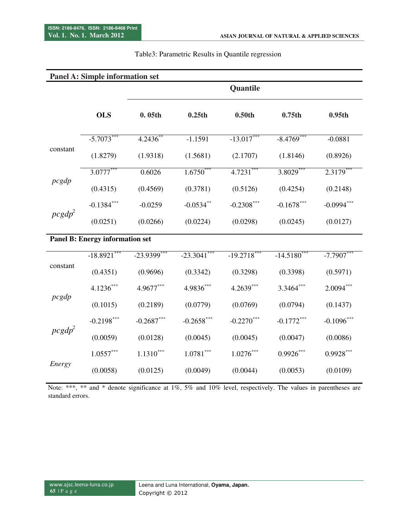| <b>Panel A: Simple information set</b> |                                        |                    |                    |                    |                    |                     |  |
|----------------------------------------|----------------------------------------|--------------------|--------------------|--------------------|--------------------|---------------------|--|
|                                        |                                        | Quantile           |                    |                    |                    |                     |  |
|                                        | <b>OLS</b>                             | 0.05 <sub>th</sub> | 0.25 <sub>th</sub> | 0.50 <sub>th</sub> | 0.75 <sub>th</sub> | 0.95 <sub>th</sub>  |  |
| constant                               | $-5.7073***$                           | 4.2436**           | $-1.1591$          | $-13.017***$       | $-8.4769$ ***      | $-0.0881$           |  |
|                                        | (1.8279)                               | (1.9318)           | (1.5681)           | (2.1707)           | (1.8146)           | (0.8926)            |  |
|                                        | $3.0777***$                            | 0.6026             | $1.6750***$        | $4.7231***$        | $3.8029***$        | $2.3\overline{179}$ |  |
| pcgdp                                  | (0.4315)                               | (0.4569)           | (0.3781)           | (0.5126)           | (0.4254)           | (0.2148)            |  |
| $pcgdp^2$                              | $-0.1384$ ***                          | $-0.0259$          | $-0.0534$ **       | $-0.2308***$       | $-0.1678***$       | $-0.0994***$        |  |
|                                        | (0.0251)                               | (0.0266)           | (0.0224)           | (0.0298)           | (0.0245)           | (0.0127)            |  |
|                                        | <b>Panel B: Energy information set</b> |                    |                    |                    |                    |                     |  |
|                                        | $-18.8921***$                          | $-23.9399$ ***     | $-23.3041$ ***     | $-19.2718***$      | $-14.5180$ ***     | $-7.7907***$        |  |
| constant                               | (0.4351)                               | (0.9696)           | (0.3342)           | (0.3298)           | (0.3398)           | (0.5971)            |  |
| pcgdp                                  | $4.1236***$                            | 4.9677***          | 4.9836***          | 4.2639***          | 3.3464***          | $2.0094***$         |  |
|                                        | (0.1015)                               | (0.2189)           | (0.0779)           | (0.0769)           | (0.0794)           | (0.1437)            |  |
| pcgdp <sup>2</sup>                     | $-0.2198***$                           | $-0.2687***$       | $-0.2658$ ***      | $-0.2270***$       | $-0.1772***$       | $-0.1096$ ***       |  |
|                                        | (0.0059)                               | (0.0128)           | (0.0045)           | (0.0045)           | (0.0047)           | (0.0086)            |  |
|                                        | $1.0557***$                            | $1.1310***$        | $1.0781***$        | $1.0276***$        | $0.9926***$        | $0.9928***$         |  |
| Energy                                 | (0.0058)                               | (0.0125)           | (0.0049)           | (0.0044)           | (0.0053)           | (0.0109)            |  |

## Table3: Parametric Results in Quantile regression

Note: \*\*\*, \*\* and \* denote significance at 1%, 5% and 10% level, respectively. The values in parentheses are standard errors.